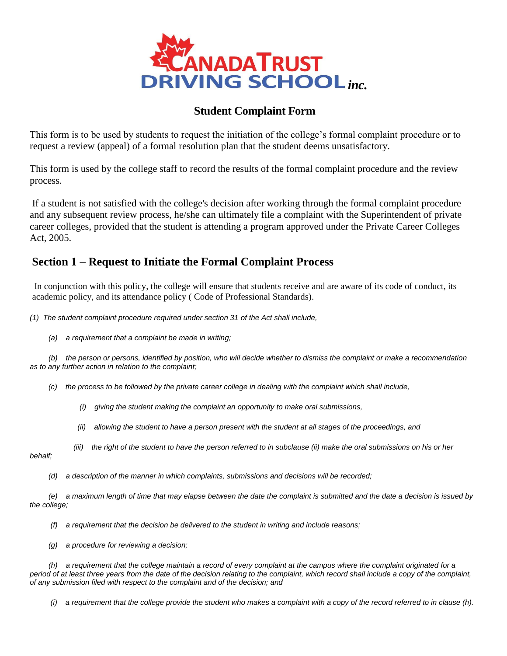

## **Student Complaint Form**

This form is to be used by students to request the initiation of the college's formal complaint procedure or to request a review (appeal) of a formal resolution plan that the student deems unsatisfactory.

This form is used by the college staff to record the results of the formal complaint procedure and the review process.

If a student is not satisfied with the college's decision after working through the formal complaint procedure and any subsequent review process, he/she can ultimately file a complaint with the Superintendent of private career colleges, provided that the student is attending a program approved under the Private Career Colleges Act, 2005.

## **Section 1 – Request to Initiate the Formal Complaint Process**

In conjunction with this policy, the college will ensure that students receive and are aware of its code of conduct, its academic policy, and its attendance policy ( Code of Professional Standards).

*(1) The student complaint procedure required under section 31 of the Act shall include,*

 *(a) a requirement that a complaint be made in writing;*

 *(b) the person or persons, identified by position, who will decide whether to dismiss the complaint or make a recommendation as to any further action in relation to the complaint;*

- *(c) the process to be followed by the private career college in dealing with the complaint which shall include,*
	- *(i) giving the student making the complaint an opportunity to make oral submissions,*
	- *(ii) allowing the student to have a person present with the student at all stages of the proceedings, and*
	- *(iii) the right of the student to have the person referred to in subclause (ii) make the oral submissions on his or her*

*behalf;*

 *(d) a description of the manner in which complaints, submissions and decisions will be recorded;*

 *(e) a maximum length of time that may elapse between the date the complaint is submitted and the date a decision is issued by the college;*

- *(f) a requirement that the decision be delivered to the student in writing and include reasons;*
- *(g) a procedure for reviewing a decision;*

 *(h) a requirement that the college maintain a record of every complaint at the campus where the complaint originated for a*  period of at least three years from the date of the decision relating to the complaint, which record shall include a copy of the complaint, *of any submission filed with respect to the complaint and of the decision; and*

 *(i) a requirement that the college provide the student who makes a complaint with a copy of the record referred to in clause (h).*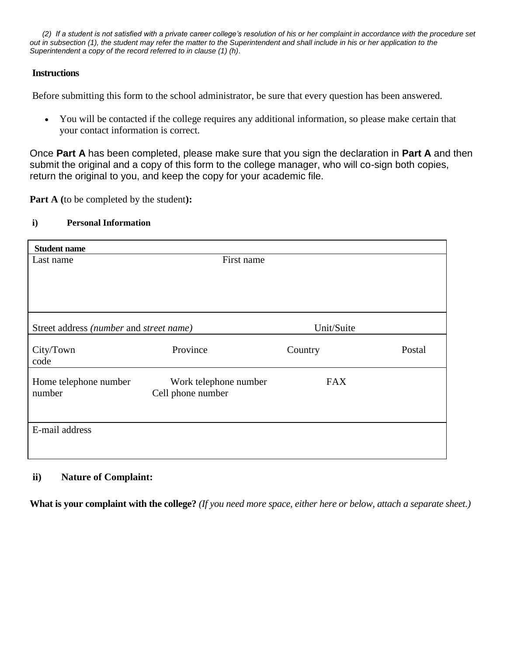*[\(2\)](http://www.e-laws.gov.on.ca/DBLaws/Regs/French/060415_f.htm#36.%282%29) If a student is not satisfied with a private career college's resolution of his or her complaint in accordance with the procedure set out in subsection (1), the student may refer the matter to the Superintendent and shall include in his or her application to the Superintendent a copy of the record referred to in clause (1) (h).*

#### **Instructions**

Before submitting this form to the school administrator, be sure that every question has been answered.

 You will be contacted if the college requires any additional information, so please make certain that your contact information is correct.

Once **Part A** has been completed, please make sure that you sign the declaration in **Part A** and then submit the original and a copy of this form to the college manager, who will co-sign both copies, return the original to you, and keep the copy for your academic file.

**Part A (**to be completed by the student**):**

#### **i) Personal Information**

| <b>Student name</b>                     |                       |            |        |
|-----------------------------------------|-----------------------|------------|--------|
| Last name                               | First name            |            |        |
|                                         |                       |            |        |
|                                         |                       |            |        |
|                                         |                       |            |        |
|                                         |                       |            |        |
| Street address (number and street name) |                       | Unit/Suite |        |
|                                         |                       |            |        |
| City/Town                               | Province              | Country    | Postal |
| code                                    |                       |            |        |
| Home telephone number                   | Work telephone number | <b>FAX</b> |        |
| number                                  | Cell phone number     |            |        |
|                                         |                       |            |        |
|                                         |                       |            |        |
| E-mail address                          |                       |            |        |
|                                         |                       |            |        |
|                                         |                       |            |        |

#### **ii) Nature of Complaint:**

**What is your complaint with the college?** *(If you need more space, either here or below, attach a separate sheet.)*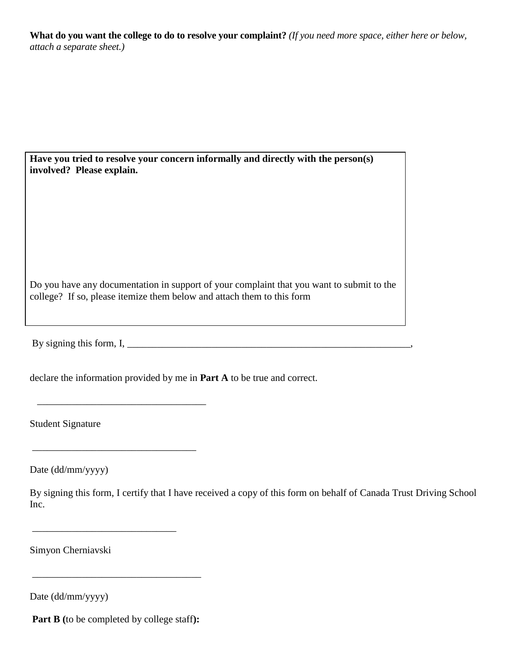**What do you want the college to do to resolve your complaint?** *(If you need more space, either here or below, attach a separate sheet.)*

| Have you tried to resolve your concern informally and directly with the person(s)                                                                                   |  |  |
|---------------------------------------------------------------------------------------------------------------------------------------------------------------------|--|--|
| involved? Please explain.                                                                                                                                           |  |  |
|                                                                                                                                                                     |  |  |
|                                                                                                                                                                     |  |  |
|                                                                                                                                                                     |  |  |
|                                                                                                                                                                     |  |  |
|                                                                                                                                                                     |  |  |
| Do you have any documentation in support of your complaint that you want to submit to the<br>college? If so, please itemize them below and attach them to this form |  |  |

By signing this form, I, \_\_\_\_\_\_\_\_\_\_\_\_\_\_\_\_\_\_\_\_\_\_\_\_\_\_\_\_\_\_\_\_\_\_\_\_\_\_\_\_\_\_\_\_\_\_\_\_\_\_\_\_\_\_\_\_\_,

declare the information provided by me in **Part A** to be true and correct.

Student Signature

Date (dd/mm/yyyy)

By signing this form, I certify that I have received a copy of this form on behalf of Canada Trust Driving School Inc.

Simyon Cherniavski

Date (dd/mm/yyyy)

**Part B (**to be completed by college staff**):**

\_\_\_\_\_\_\_\_\_\_\_\_\_\_\_\_\_\_\_\_\_\_\_\_\_\_\_\_\_\_\_\_\_\_

 $\overline{\phantom{a}}$  , which is a set of the set of the set of the set of the set of the set of the set of the set of the set of the set of the set of the set of the set of the set of the set of the set of the set of the set of th

\_\_\_\_\_\_\_\_\_\_\_\_\_\_\_\_\_\_\_\_\_\_\_\_\_\_\_\_\_\_\_\_\_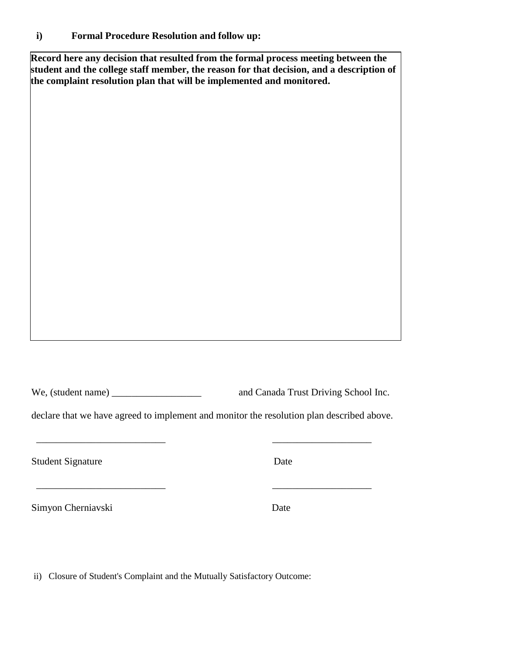### **i) Formal Procedure Resolution and follow up:**

**Record here any decision that resulted from the formal process meeting between the student and the college staff member, the reason for that decision, and a description of the complaint resolution plan that will be implemented and monitored.**

We, (student name) \_\_\_\_\_\_\_\_\_\_\_\_\_\_\_\_\_\_\_\_\_\_\_\_\_\_ and Canada Trust Driving School Inc.

declare that we have agreed to implement and monitor the resolution plan described above.

 $\overline{\phantom{a}}$  ,  $\overline{\phantom{a}}$  ,  $\overline{\phantom{a}}$  ,  $\overline{\phantom{a}}$  ,  $\overline{\phantom{a}}$  ,  $\overline{\phantom{a}}$  ,  $\overline{\phantom{a}}$  ,  $\overline{\phantom{a}}$  ,  $\overline{\phantom{a}}$  ,  $\overline{\phantom{a}}$  ,  $\overline{\phantom{a}}$  ,  $\overline{\phantom{a}}$  ,  $\overline{\phantom{a}}$  ,  $\overline{\phantom{a}}$  ,  $\overline{\phantom{a}}$  ,  $\overline{\phantom{a}}$ 

 $\overline{\phantom{a}}$  , and the contract of the contract of the contract of the contract of the contract of the contract of the contract of the contract of the contract of the contract of the contract of the contract of the contrac

Student Signature Date

Simyon Cherniavski Date

ii) Closure of Student's Complaint and the Mutually Satisfactory Outcome: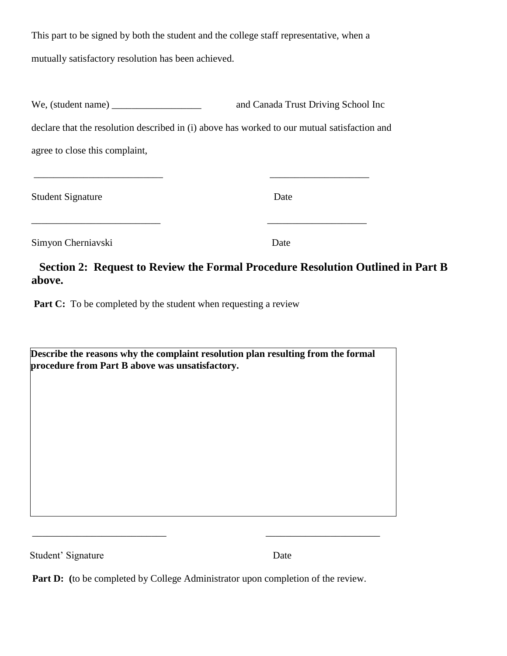This part to be signed by both the student and the college staff representative, when a mutually satisfactory resolution has been achieved.

| We, (student name) $\frac{1}{\frac{1}{2} \sum_{i=1}^{n} x_i^2 + \cdots + x_i^2}$             | and Canada Trust Driving School Inc |
|----------------------------------------------------------------------------------------------|-------------------------------------|
| declare that the resolution described in (i) above has worked to our mutual satisfaction and |                                     |
| agree to close this complaint,                                                               |                                     |

\_\_\_\_\_\_\_\_\_\_\_\_\_\_\_\_\_\_\_\_\_\_\_\_\_\_ \_\_\_\_\_\_\_\_\_\_\_\_\_\_\_\_\_\_\_\_

\_\_\_\_\_\_\_\_\_\_\_\_\_\_\_\_\_\_\_\_\_\_\_\_\_\_ \_\_\_\_\_\_\_\_\_\_\_\_\_\_\_\_\_\_\_\_

Student Signature Date

Simyon Cherniavski Date

# **Section 2: Request to Review the Formal Procedure Resolution Outlined in Part B above.**

Part C: To be completed by the student when requesting a review

| Describe the reasons why the complaint resolution plan resulting from the formal |  |
|----------------------------------------------------------------------------------|--|
| procedure from Part B above was unsatisfactory.                                  |  |

Student' Signature Date

**Part D:** (to be completed by College Administrator upon completion of the review.

\_\_\_\_\_\_\_\_\_\_\_\_\_\_\_\_\_\_\_\_\_\_\_\_\_\_\_ \_\_\_\_\_\_\_\_\_\_\_\_\_\_\_\_\_\_\_\_\_\_\_